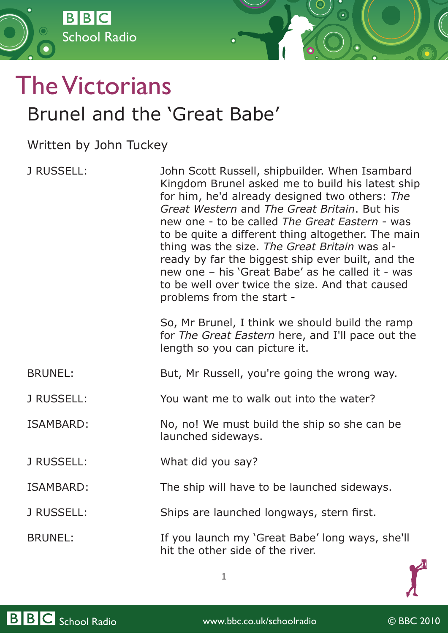

## The Victorians Brunel and the 'Great Babe'

Written by John Tuckey

| J RUSSELL:        | John Scott Russell, shipbuilder. When Isambard<br>Kingdom Brunel asked me to build his latest ship<br>for him, he'd already designed two others: The<br>Great Western and The Great Britain, But his<br>new one - to be called The Great Eastern - was<br>to be quite a different thing altogether. The main<br>thing was the size. The Great Britain was al-<br>ready by far the biggest ship ever built, and the<br>new one - his 'Great Babe' as he called it - was<br>to be well over twice the size. And that caused<br>problems from the start -<br>So, Mr Brunel, I think we should build the ramp<br>for The Great Eastern here, and I'll pace out the<br>length so you can picture it. |
|-------------------|-------------------------------------------------------------------------------------------------------------------------------------------------------------------------------------------------------------------------------------------------------------------------------------------------------------------------------------------------------------------------------------------------------------------------------------------------------------------------------------------------------------------------------------------------------------------------------------------------------------------------------------------------------------------------------------------------|
| <b>BRUNEL:</b>    | But, Mr Russell, you're going the wrong way.                                                                                                                                                                                                                                                                                                                                                                                                                                                                                                                                                                                                                                                    |
| <b>J RUSSELL:</b> | You want me to walk out into the water?                                                                                                                                                                                                                                                                                                                                                                                                                                                                                                                                                                                                                                                         |
| <b>ISAMBARD:</b>  | No, no! We must build the ship so she can be<br>launched sideways.                                                                                                                                                                                                                                                                                                                                                                                                                                                                                                                                                                                                                              |
| J RUSSELL:        | What did you say?                                                                                                                                                                                                                                                                                                                                                                                                                                                                                                                                                                                                                                                                               |
| <b>ISAMBARD:</b>  | The ship will have to be launched sideways.                                                                                                                                                                                                                                                                                                                                                                                                                                                                                                                                                                                                                                                     |
| J RUSSELL:        | Ships are launched longways, stern first.                                                                                                                                                                                                                                                                                                                                                                                                                                                                                                                                                                                                                                                       |
| <b>BRUNEL:</b>    | If you launch my 'Great Babe' long ways, she'll<br>hit the other side of the river.                                                                                                                                                                                                                                                                                                                                                                                                                                                                                                                                                                                                             |

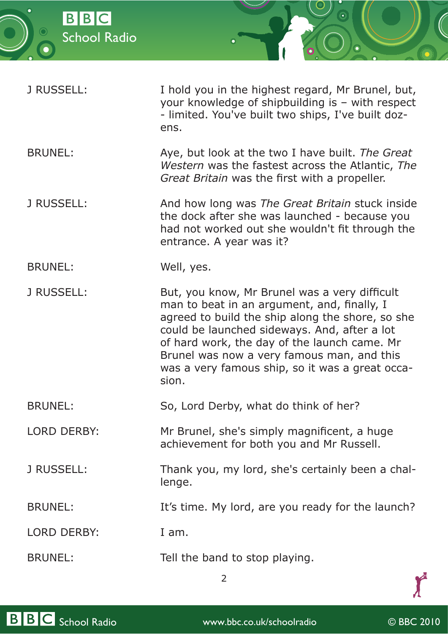

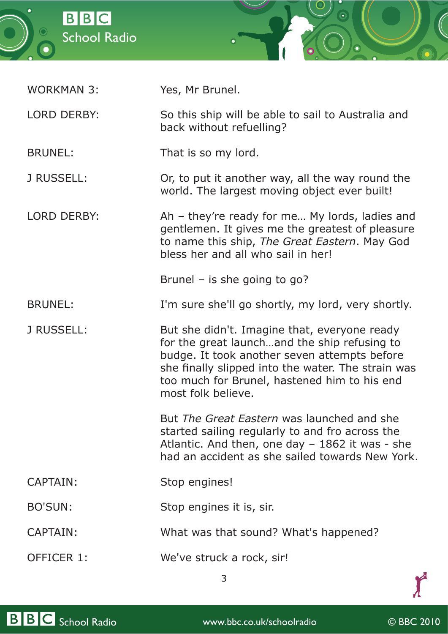



| LORD DERBY:    | So this ship will be able to sail to Australia and<br>back without refuelling? |
|----------------|--------------------------------------------------------------------------------|
| <b>BRUNEL:</b> | That is so my lord.                                                            |

WORKMAN 3: Yes, Mr Brunel.

J RUSSELL: Or, to put it another way, all the way round the world. The largest moving object ever built!

LORD DERBY: Ah – they're ready for me... My lords, ladies and gentlemen. It gives me the greatest of pleasure to name this ship, *The Great Eastern*. May God bless her and all who sail in her!

Brunel – is she going to go?

BRUNEL: I'm sure she'll go shortly, my lord, very shortly.

J RUSSELL: But she didn't. Imagine that, everyone ready for the great launch…and the ship refusing to budge. It took another seven attempts before she finally slipped into the water. The strain was too much for Brunel, hastened him to his end most folk believe.

> But *The Great Eastern* was launched and she started sailing regularly to and fro across the Atlantic. And then, one day – 1862 it was - she had an accident as she sailed towards New York.

CAPTAIN: Stop engines!

BO'SUN: Stop engines it is, sir.

- CAPTAIN: What was that sound? What's happened?
- OFFICER 1: We've struck a rock, sir!